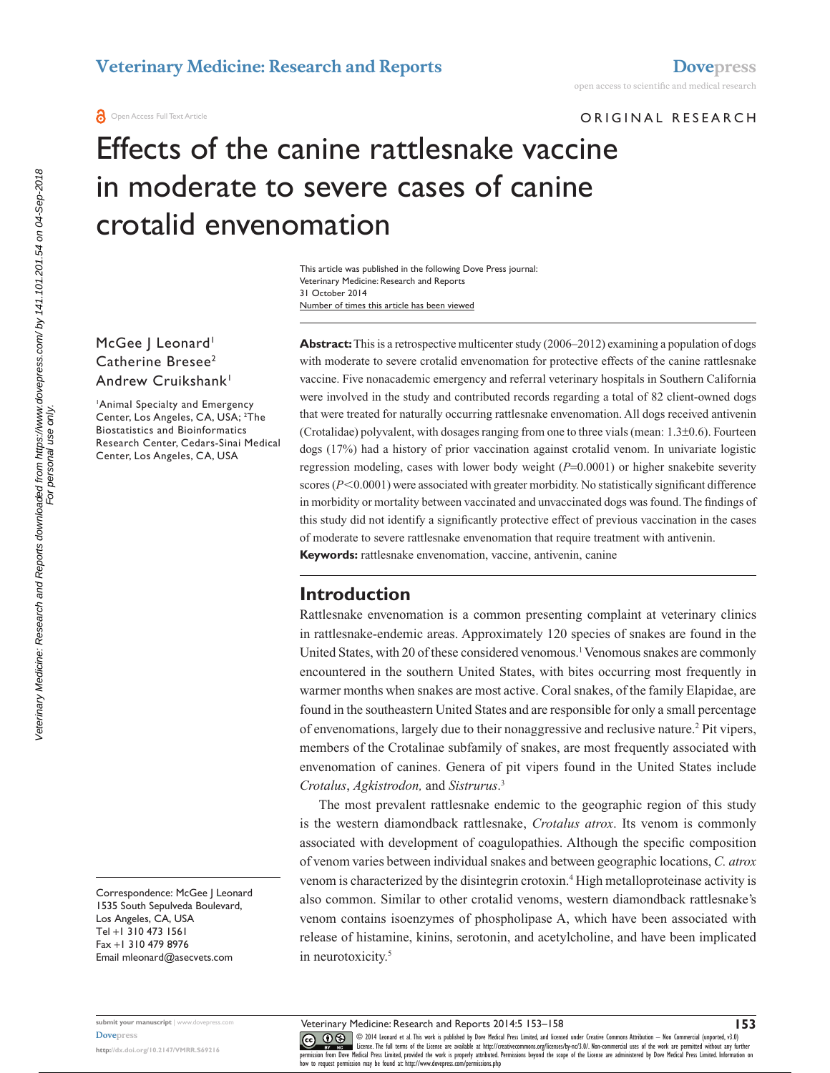ORIGINAL RESEARCH

# Effects of the canine rattlesnake vaccine in moderate to severe cases of canine crotalid envenomation

Number of times this article has been viewed This article was published in the following Dove Press journal: Veterinary Medicine: Research and Reports 31 October 2014

McGee | Leonard<sup>1</sup> Catherine Bresee<sup>2</sup> Andrew Cruikshank<sup>1</sup>

1 Animal Specialty and Emergency Center, Los Angeles, CA, USA; <sup>2</sup>The Biostatistics and Bioinformatics Research Center, Cedars-Sinai Medical Center, Los Angeles, CA, USA

Correspondence: McGee J Leonard 1535 South Sepulveda Boulevard, Los Angeles, CA, USA Tel +1 310 473 1561 Fax +1 310 479 8976 Email [mleonard@asecvets.com](mailto:mleonard@asecvets.com)

**Abstract:** This is a retrospective multicenter study (2006–2012) examining a population of dogs with moderate to severe crotalid envenomation for protective effects of the canine rattlesnake vaccine. Five nonacademic emergency and referral veterinary hospitals in Southern California were involved in the study and contributed records regarding a total of 82 client-owned dogs that were treated for naturally occurring rattlesnake envenomation. All dogs received antivenin (Crotalidae) polyvalent, with dosages ranging from one to three vials (mean:  $1.3\pm0.6$ ). Fourteen dogs (17%) had a history of prior vaccination against crotalid venom. In univariate logistic regression modeling, cases with lower body weight (*P*=0.0001) or higher snakebite severity scores  $(P<0.0001)$  were associated with greater morbidity. No statistically significant difference in morbidity or mortality between vaccinated and unvaccinated dogs was found. The findings of this study did not identify a significantly protective effect of previous vaccination in the cases of moderate to severe rattlesnake envenomation that require treatment with antivenin. **Keywords:** rattlesnake envenomation, vaccine, antivenin, canine

# **Introduction**

Rattlesnake envenomation is a common presenting complaint at veterinary clinics in rattlesnake-endemic areas. Approximately 120 species of snakes are found in the United States, with 20 of these considered venomous.<sup>1</sup> Venomous snakes are commonly encountered in the southern United States, with bites occurring most frequently in warmer months when snakes are most active. Coral snakes, of the family Elapidae, are found in the southeastern United States and are responsible for only a small percentage of envenomations, largely due to their nonaggressive and reclusive nature.<sup>2</sup> Pit vipers, members of the Crotalinae subfamily of snakes, are most frequently associated with envenomation of canines. Genera of pit vipers found in the United States include *Crotalus*, *Agkistrodon,* and *Sistrurus*. 3

The most prevalent rattlesnake endemic to the geographic region of this study is the western diamondback rattlesnake, *Crotalus atrox*. Its venom is commonly associated with development of coagulopathies. Although the specific composition of venom varies between individual snakes and between geographic locations, *C. atrox* venom is characterized by the disintegrin crotoxin.<sup>4</sup> High metalloproteinase activity is also common. Similar to other crotalid venoms, western diamondback rattlesnake's venom contains isoenzymes of phospholipase A, which have been associated with release of histamine, kinins, serotonin, and acetylcholine, and have been implicated in neurotoxicity.<sup>5</sup>

Veterinary Medicine: Research and Reports 2014:5 153–158

Veterinary Medicine: Research and Reports downloaded from https://www.dovepress.com/ by 141.101.201.54 on 04-Sep-2018<br>For personal use only. Veterinary Medicine: Research and Reports downloaded from https://www.dovepress.com/ by 141.101.201.54 on 04-Sep-2018 For personal use only.

> **submit your manuscript** | <www.dovepress.com> **[Dovepress](www.dovepress.com)**

**<http://dx.doi.org/10.2147/VMRR.S69216>**

CO ODI4 Leonard et al. This work is published by Dove Medical Press Limited, and licensed under Creative Commons Attribution - Non Commercial (unported, v3.0)<br> [permission from Dove M](http://www.dovepress.com/permissions.php)edical Press Limited, provided the work how to request permission may be found at:<http://www.dovepress.com/permissions.php>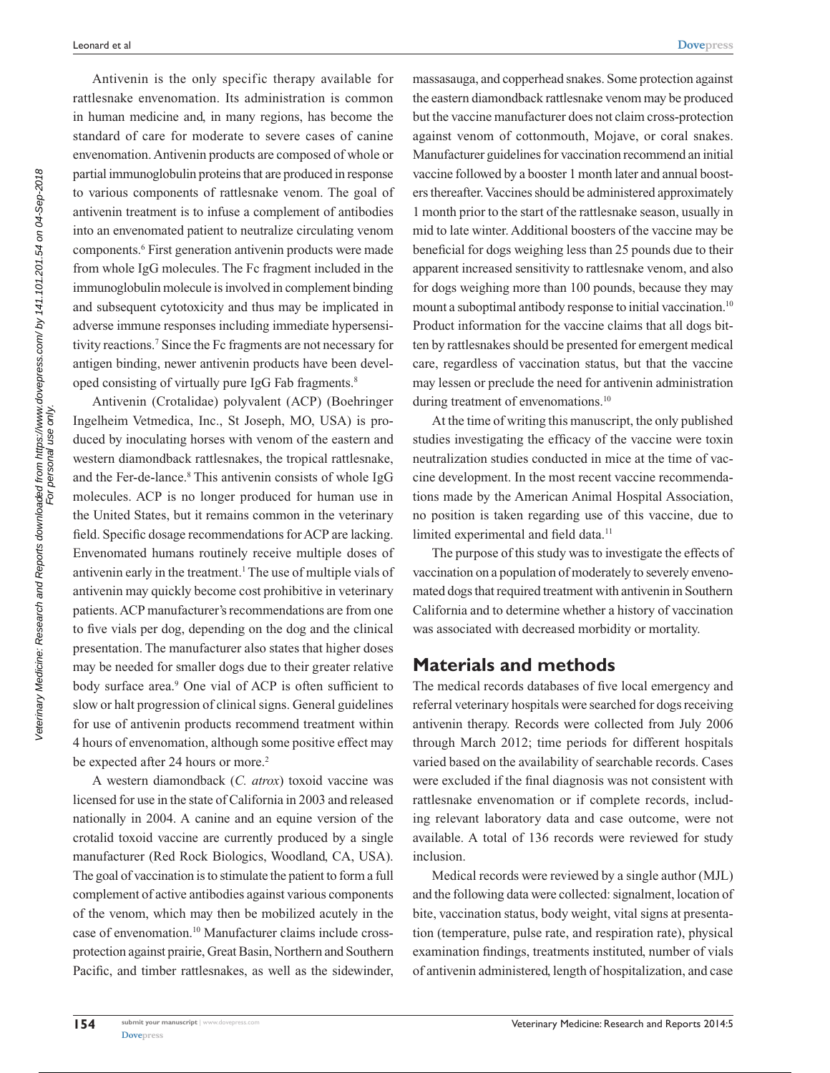Antivenin is the only specific therapy available for rattlesnake envenomation. Its administration is common in human medicine and, in many regions, has become the standard of care for moderate to severe cases of canine envenomation. Antivenin products are composed of whole or partial immunoglobulin proteins that are produced in response to various components of rattlesnake venom. The goal of antivenin treatment is to infuse a complement of antibodies into an envenomated patient to neutralize circulating venom components.6 First generation antivenin products were made from whole IgG molecules. The Fc fragment included in the immunoglobulin molecule is involved in complement binding and subsequent cytotoxicity and thus may be implicated in adverse immune responses including immediate hypersensitivity reactions.7 Since the Fc fragments are not necessary for antigen binding, newer antivenin products have been developed consisting of virtually pure IgG Fab fragments.<sup>8</sup>

Antivenin (Crotalidae) polyvalent (ACP) (Boehringer Ingelheim Vetmedica, Inc., St Joseph, MO, USA) is produced by inoculating horses with venom of the eastern and western diamondback rattlesnakes, the tropical rattlesnake, and the Fer-de-lance.<sup>8</sup> This antivenin consists of whole IgG molecules. ACP is no longer produced for human use in the United States, but it remains common in the veterinary field. Specific dosage recommendations for ACP are lacking. Envenomated humans routinely receive multiple doses of antivenin early in the treatment.<sup>1</sup> The use of multiple vials of antivenin may quickly become cost prohibitive in veterinary patients. ACP manufacturer's recommendations are from one to five vials per dog, depending on the dog and the clinical presentation. The manufacturer also states that higher doses may be needed for smaller dogs due to their greater relative body surface area.<sup>9</sup> One vial of ACP is often sufficient to slow or halt progression of clinical signs. General guidelines for use of antivenin products recommend treatment within 4 hours of envenomation, although some positive effect may be expected after 24 hours or more.<sup>2</sup>

A western diamondback (*C. atrox*) toxoid vaccine was licensed for use in the state of California in 2003 and released nationally in 2004. A canine and an equine version of the crotalid toxoid vaccine are currently produced by a single manufacturer (Red Rock Biologics, Woodland, CA, USA). The goal of vaccination is to stimulate the patient to form a full complement of active antibodies against various components of the venom, which may then be mobilized acutely in the case of envenomation.10 Manufacturer claims include crossprotection against prairie, Great Basin, Northern and Southern Pacific, and timber rattlesnakes, as well as the sidewinder, massasauga, and copperhead snakes. Some protection against the eastern diamondback rattlesnake venom may be produced but the vaccine manufacturer does not claim cross-protection against venom of cottonmouth, Mojave, or coral snakes. Manufacturer guidelines for vaccination recommend an initial vaccine followed by a booster 1 month later and annual boosters thereafter. Vaccines should be administered approximately 1 month prior to the start of the rattlesnake season, usually in mid to late winter. Additional boosters of the vaccine may be beneficial for dogs weighing less than 25 pounds due to their apparent increased sensitivity to rattlesnake venom, and also for dogs weighing more than 100 pounds, because they may mount a suboptimal antibody response to initial vaccination.<sup>10</sup> Product information for the vaccine claims that all dogs bitten by rattlesnakes should be presented for emergent medical care, regardless of vaccination status, but that the vaccine may lessen or preclude the need for antivenin administration during treatment of envenomations.<sup>10</sup>

At the time of writing this manuscript, the only published studies investigating the efficacy of the vaccine were toxin neutralization studies conducted in mice at the time of vaccine development. In the most recent vaccine recommendations made by the American Animal Hospital Association, no position is taken regarding use of this vaccine, due to limited experimental and field data.<sup>11</sup>

The purpose of this study was to investigate the effects of vaccination on a population of moderately to severely envenomated dogs that required treatment with antivenin in Southern California and to determine whether a history of vaccination was associated with decreased morbidity or mortality.

# **Materials and methods**

The medical records databases of five local emergency and referral veterinary hospitals were searched for dogs receiving antivenin therapy. Records were collected from July 2006 through March 2012; time periods for different hospitals varied based on the availability of searchable records. Cases were excluded if the final diagnosis was not consistent with rattlesnake envenomation or if complete records, including relevant laboratory data and case outcome, were not available. A total of 136 records were reviewed for study inclusion.

Medical records were reviewed by a single author (MJL) and the following data were collected: signalment, location of bite, vaccination status, body weight, vital signs at presentation (temperature, pulse rate, and respiration rate), physical examination findings, treatments instituted, number of vials of antivenin administered, length of hospitalization, and case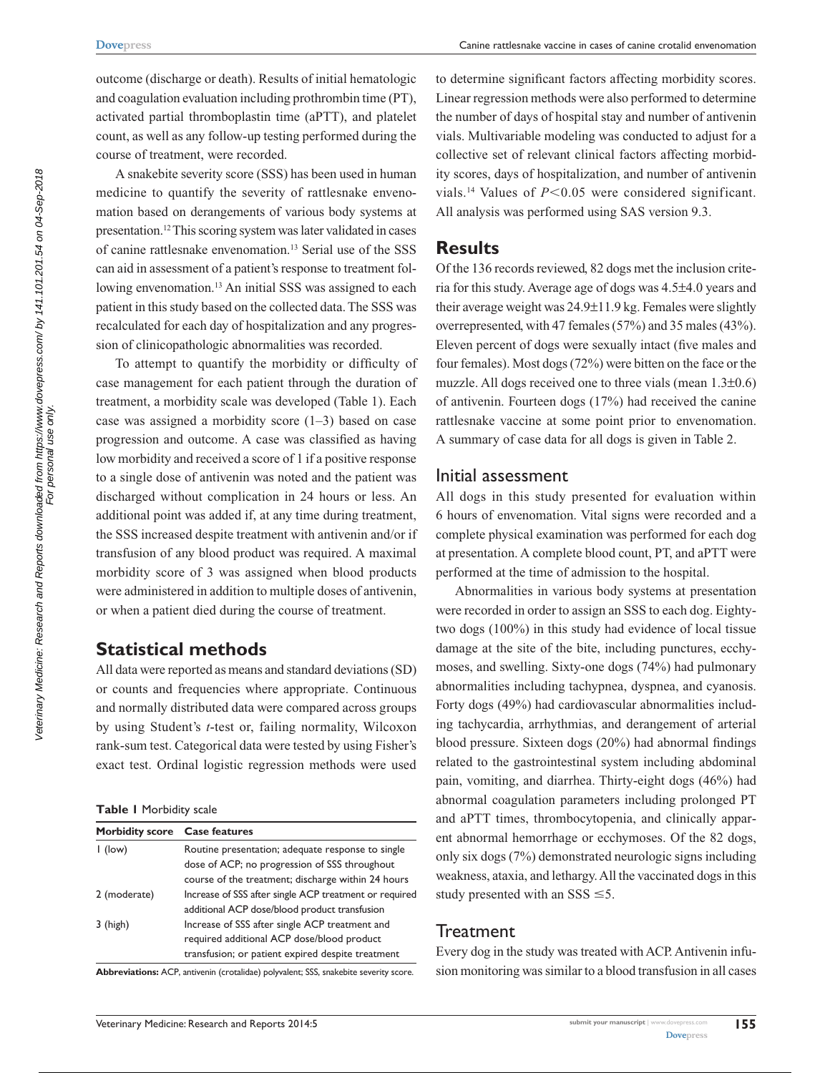outcome (discharge or death). Results of initial hematologic and coagulation evaluation including prothrombin time (PT), activated partial thromboplastin time (aPTT), and platelet count, as well as any follow-up testing performed during the course of treatment, were recorded.

A snakebite severity score (SSS) has been used in human medicine to quantify the severity of rattlesnake envenomation based on derangements of various body systems at presentation.12 This scoring system was later validated in cases of canine rattlesnake envenomation.13 Serial use of the SSS can aid in assessment of a patient's response to treatment following envenomation.<sup>13</sup> An initial SSS was assigned to each patient in this study based on the collected data. The SSS was recalculated for each day of hospitalization and any progression of clinicopathologic abnormalities was recorded.

To attempt to quantify the morbidity or difficulty of case management for each patient through the duration of treatment, a morbidity scale was developed (Table 1). Each case was assigned a morbidity score (1–3) based on case progression and outcome. A case was classified as having low morbidity and received a score of 1 if a positive response to a single dose of antivenin was noted and the patient was discharged without complication in 24 hours or less. An additional point was added if, at any time during treatment, the SSS increased despite treatment with antivenin and/or if transfusion of any blood product was required. A maximal morbidity score of 3 was assigned when blood products were administered in addition to multiple doses of antivenin, or when a patient died during the course of treatment.

# **Statistical methods**

All data were reported as means and standard deviations (SD) or counts and frequencies where appropriate. Continuous and normally distributed data were compared across groups by using Student's *t*-test or, failing normality, Wilcoxon rank-sum test. Categorical data were tested by using Fisher's exact test. Ordinal logistic regression methods were used

|  |  | <b>Table I</b> Morbidity scale |  |
|--|--|--------------------------------|--|
|--|--|--------------------------------|--|

| Morbidity score Case features |                                                        |
|-------------------------------|--------------------------------------------------------|
| $\mathsf{I}$ (low)            | Routine presentation; adequate response to single      |
|                               | dose of ACP; no progression of SSS throughout          |
|                               | course of the treatment; discharge within 24 hours     |
| 2 (moderate)                  | Increase of SSS after single ACP treatment or required |
|                               | additional ACP dose/blood product transfusion          |
| $3$ (high)                    | Increase of SSS after single ACP treatment and         |
|                               | required additional ACP dose/blood product             |
|                               | transfusion; or patient expired despite treatment      |

**Abbreviations:** ACP, antivenin (crotalidae) polyvalent; SSS, snakebite severity score.

to determine significant factors affecting morbidity scores. Linear regression methods were also performed to determine the number of days of hospital stay and number of antivenin vials. Multivariable modeling was conducted to adjust for a collective set of relevant clinical factors affecting morbidity scores, days of hospitalization, and number of antivenin vials.<sup>14</sup> Values of  $P < 0.05$  were considered significant. All analysis was performed using SAS version 9.3.

# **Results**

Of the 136 records reviewed, 82 dogs met the inclusion criteria for this study. Average age of dogs was 4.5±4.0 years and their average weight was 24.9±11.9 kg. Females were slightly overrepresented, with 47 females (57%) and 35 males (43%). Eleven percent of dogs were sexually intact (five males and four females). Most dogs (72%) were bitten on the face or the muzzle. All dogs received one to three vials (mean 1.3±0.6) of antivenin. Fourteen dogs (17%) had received the canine rattlesnake vaccine at some point prior to envenomation. A summary of case data for all dogs is given in Table 2.

### Initial assessment

All dogs in this study presented for evaluation within 6 hours of envenomation. Vital signs were recorded and a complete physical examination was performed for each dog at presentation. A complete blood count, PT, and aPTT were performed at the time of admission to the hospital.

Abnormalities in various body systems at presentation were recorded in order to assign an SSS to each dog. Eightytwo dogs (100%) in this study had evidence of local tissue damage at the site of the bite, including punctures, ecchymoses, and swelling. Sixty-one dogs (74%) had pulmonary abnormalities including tachypnea, dyspnea, and cyanosis. Forty dogs (49%) had cardiovascular abnormalities including tachycardia, arrhythmias, and derangement of arterial blood pressure. Sixteen dogs (20%) had abnormal findings related to the gastrointestinal system including abdominal pain, vomiting, and diarrhea. Thirty-eight dogs (46%) had abnormal coagulation parameters including prolonged PT and aPTT times, thrombocytopenia, and clinically apparent abnormal hemorrhage or ecchymoses. Of the 82 dogs, only six dogs (7%) demonstrated neurologic signs including weakness, ataxia, and lethargy. All the vaccinated dogs in this study presented with an SSS  $\leq$ 5.

# **Treatment**

Every dog in the study was treated with ACP. Antivenin infusion monitoring was similar to a blood transfusion in all cases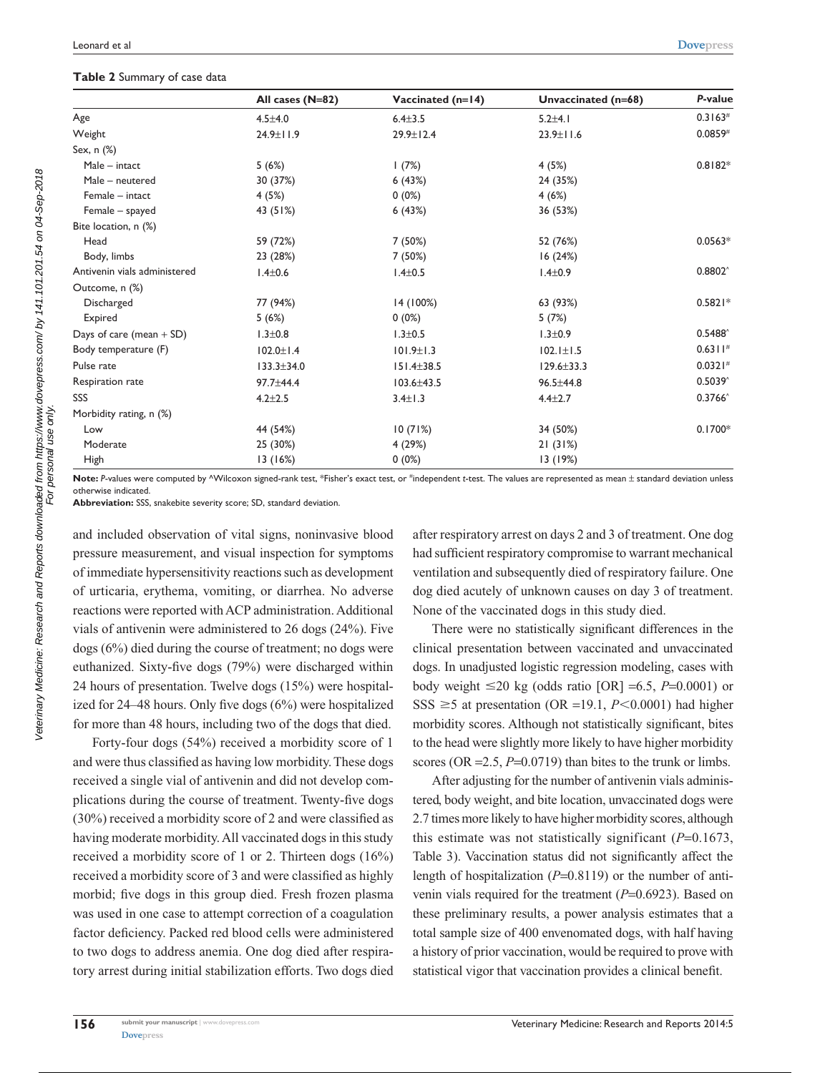#### **Table 2** Summary of case data

|                              | All cases (N=82) | Vaccinated (n=14) | Unvaccinated (n=68) | P-value          |
|------------------------------|------------------|-------------------|---------------------|------------------|
| Age                          | $4.5 \pm 4.0$    | $6.4 + 3.5$       | $5.2 + 4.1$         | 0.3163#          |
| Weight                       | 24.9±11.9        | 29.9±12.4         | $23.9 \pm 11.6$     | 0.0859#          |
| Sex, n (%)                   |                  |                   |                     |                  |
| Male - intact                | 5(6%)            | 1(7%)             | 4(5%)               | $0.8182*$        |
| Male - neutered              | 30 (37%)         | 6(43%)            | 24 (35%)            |                  |
| Female - intact              | 4(5%)            | $0(0\%)$          | 4(6%)               |                  |
| Female - spayed              | 43 (51%)         | 6(43%)            | 36 (53%)            |                  |
| Bite location, n (%)         |                  |                   |                     |                  |
| Head                         | 59 (72%)         | 7 (50%)           | 52 (76%)            | $0.0563*$        |
| Body, limbs                  | 23 (28%)         | 7 (50%)           | 16(24%)             |                  |
| Antivenin vials administered | $1.4 \pm 0.6$    | $1.4 \pm 0.5$     | $1.4 \pm 0.9$       | $0.8802^$        |
| Outcome, n (%)               |                  |                   |                     |                  |
| Discharged                   | 77 (94%)         | 14 (100%)         | 63 (93%)            | $0.5821*$        |
| Expired                      | 5(6%)            | $0(0\%)$          | 5(7%)               |                  |
| Days of care (mean $+$ SD)   | $1.3 \pm 0.8$    | $1.3 \pm 0.5$     | $1.3 \pm 0.9$       | $0.5488^{\circ}$ |
| Body temperature (F)         | $102.0 \pm 1.4$  | $101.9 \pm 1.3$   | $102.1 \pm 1.5$     | $0.6311*$        |
| Pulse rate                   | $133.3 \pm 34.0$ | $151.4 \pm 38.5$  | $129.6 \pm 33.3$    | 0.0321#          |
| Respiration rate             | 97.7±44.4        | $103.6 \pm 43.5$  | 96.5±44.8           | $0.5039^{\circ}$ |
| SSS                          | $4.2 + 2.5$      | $3.4 \pm 1.3$     | $4.4 \pm 2.7$       | $0.3766^{\circ}$ |
| Morbidity rating, n (%)      |                  |                   |                     |                  |
| Low                          | 44 (54%)         | 10(71%)           | 34 (50%)            | $0.1700*$        |
| Moderate                     | 25 (30%)         | 4 (29%)           | 21(31%)             |                  |
| High                         | 13(16%)          | $0(0\%)$          | 13(19%)             |                  |

**Note:** *P*-values were computed by ^Wilcoxon signed-rank test, \*Fisher's exact test, or #independent *t*-test. The values are represented as mean ± standard deviation unless otherwise indicated.

**Abbreviation:** SSS, snakebite severity score; SD, standard deviation.

and included observation of vital signs, noninvasive blood pressure measurement, and visual inspection for symptoms of immediate hypersensitivity reactions such as development of urticaria, erythema, vomiting, or diarrhea. No adverse reactions were reported with ACP administration. Additional vials of antivenin were administered to 26 dogs (24%). Five dogs (6%) died during the course of treatment; no dogs were euthanized. Sixty-five dogs (79%) were discharged within 24 hours of presentation. Twelve dogs (15%) were hospitalized for 24–48 hours. Only five dogs (6%) were hospitalized for more than 48 hours, including two of the dogs that died.

Forty-four dogs (54%) received a morbidity score of 1 and were thus classified as having low morbidity. These dogs received a single vial of antivenin and did not develop complications during the course of treatment. Twenty-five dogs (30%) received a morbidity score of 2 and were classified as having moderate morbidity. All vaccinated dogs in this study received a morbidity score of 1 or 2. Thirteen dogs (16%) received a morbidity score of 3 and were classified as highly morbid; five dogs in this group died. Fresh frozen plasma was used in one case to attempt correction of a coagulation factor deficiency. Packed red blood cells were administered to two dogs to address anemia. One dog died after respiratory arrest during initial stabilization efforts. Two dogs died

after respiratory arrest on days 2 and 3 of treatment. One dog had sufficient respiratory compromise to warrant mechanical ventilation and subsequently died of respiratory failure. One dog died acutely of unknown causes on day 3 of treatment. None of the vaccinated dogs in this study died.

There were no statistically significant differences in the clinical presentation between vaccinated and unvaccinated dogs. In unadjusted logistic regression modeling, cases with body weight  $\leq 20$  kg (odds ratio [OR] =6.5, *P*=0.0001) or SSS  $\geq$ 5 at presentation (OR =19.1, *P*<0.0001) had higher morbidity scores. Although not statistically significant, bites to the head were slightly more likely to have higher morbidity scores (OR  $=2.5$ ,  $P=0.0719$ ) than bites to the trunk or limbs.

After adjusting for the number of antivenin vials administered, body weight, and bite location, unvaccinated dogs were 2.7 times more likely to have higher morbidity scores, although this estimate was not statistically significant (*P*=0.1673, Table 3). Vaccination status did not significantly affect the length of hospitalization (*P*=0.8119) or the number of antivenin vials required for the treatment ( $P=0.6923$ ). Based on these preliminary results, a power analysis estimates that a total sample size of 400 envenomated dogs, with half having a history of prior vaccination, would be required to prove with statistical vigor that vaccination provides a clinical benefit.

Veterinary Medicine: Research and Reports downloaded from https://www.dovepress.com/ by 141.101.201.54 on 04-Sep-2018<br>For personal use only. Veterinary Medicine: Research and Reports downloaded from https://www.dovepress.com/ by 141.101.201.54 on 04-Sep-2018 For personal use only.

**156**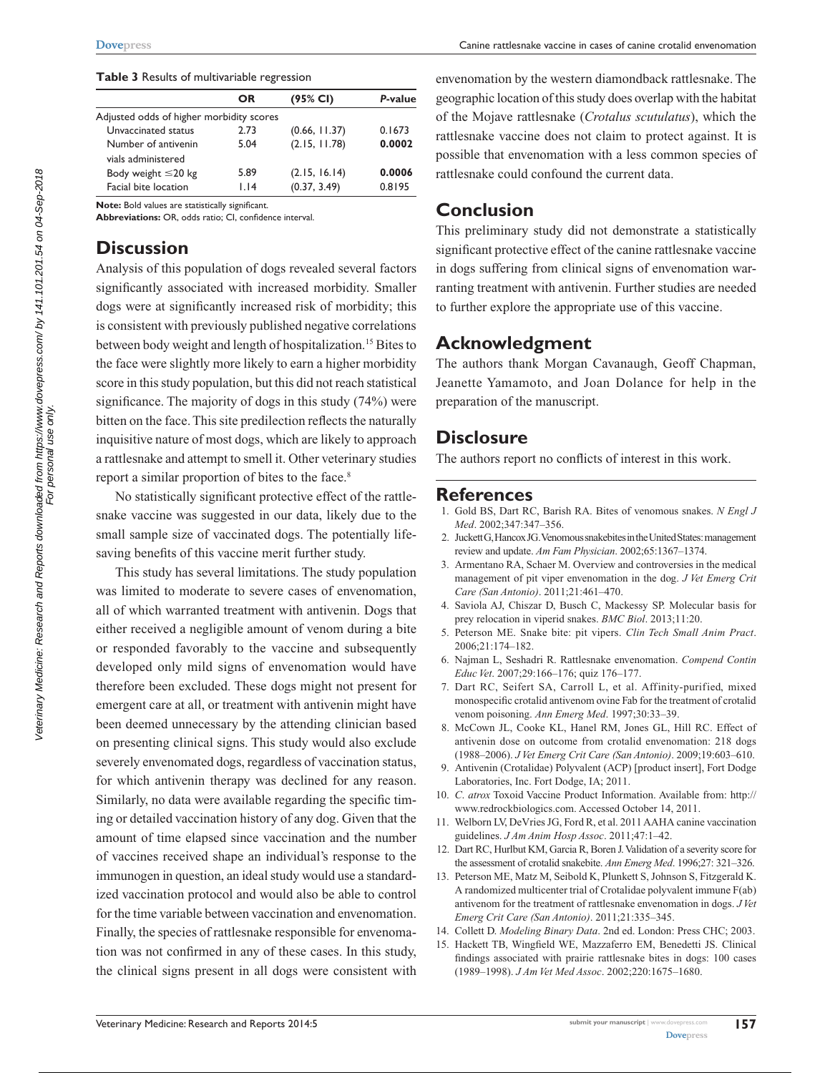#### **Table 3** Results of multivariable regression

|                                          | OR   | (95% CI)      | P-value |
|------------------------------------------|------|---------------|---------|
| Adjusted odds of higher morbidity scores |      |               |         |
| Unvaccinated status                      | 2.73 | (0.66, 11.37) | 0.1673  |
| Number of antivenin                      | 5.04 | (2.15, 11.78) | 0.0002  |
| vials administered                       |      |               |         |
| Body weight $\leq$ 20 kg                 | 5.89 | (2.15, 16.14) | 0.0006  |
| Facial bite location                     | 1.14 | (0.37, 3.49)  | 0.8195  |
|                                          |      |               |         |

**Note:** Bold values are statistically significant.

**Abbreviations:** OR, odds ratio; CI, confidence interval.

# **Discussion**

Analysis of this population of dogs revealed several factors significantly associated with increased morbidity. Smaller dogs were at significantly increased risk of morbidity; this is consistent with previously published negative correlations between body weight and length of hospitalization.<sup>15</sup> Bites to the face were slightly more likely to earn a higher morbidity score in this study population, but this did not reach statistical significance. The majority of dogs in this study (74%) were bitten on the face. This site predilection reflects the naturally inquisitive nature of most dogs, which are likely to approach a rattlesnake and attempt to smell it. Other veterinary studies report a similar proportion of bites to the face.<sup>8</sup>

No statistically significant protective effect of the rattlesnake vaccine was suggested in our data, likely due to the small sample size of vaccinated dogs. The potentially lifesaving benefits of this vaccine merit further study.

This study has several limitations. The study population was limited to moderate to severe cases of envenomation, all of which warranted treatment with antivenin. Dogs that either received a negligible amount of venom during a bite or responded favorably to the vaccine and subsequently developed only mild signs of envenomation would have therefore been excluded. These dogs might not present for emergent care at all, or treatment with antivenin might have been deemed unnecessary by the attending clinician based on presenting clinical signs. This study would also exclude severely envenomated dogs, regardless of vaccination status, for which antivenin therapy was declined for any reason. Similarly, no data were available regarding the specific timing or detailed vaccination history of any dog. Given that the amount of time elapsed since vaccination and the number of vaccines received shape an individual's response to the immunogen in question, an ideal study would use a standardized vaccination protocol and would also be able to control for the time variable between vaccination and envenomation. Finally, the species of rattlesnake responsible for envenomation was not confirmed in any of these cases. In this study, the clinical signs present in all dogs were consistent with

envenomation by the western diamondback rattlesnake. The geographic location of this study does overlap with the habitat of the Mojave rattlesnake (*Crotalus scutulatus*), which the rattlesnake vaccine does not claim to protect against. It is possible that envenomation with a less common species of rattlesnake could confound the current data.

# **Conclusion**

This preliminary study did not demonstrate a statistically significant protective effect of the canine rattlesnake vaccine in dogs suffering from clinical signs of envenomation warranting treatment with antivenin. Further studies are needed to further explore the appropriate use of this vaccine.

### **Acknowledgment**

The authors thank Morgan Cavanaugh, Geoff Chapman, Jeanette Yamamoto, and Joan Dolance for help in the preparation of the manuscript.

### **Disclosure**

The authors report no conflicts of interest in this work.

#### **References**

- 1. Gold BS, Dart RC, Barish RA. Bites of venomous snakes. *N Engl J Med*. 2002;347:347–356.
- 2. Juckett G, Hancox JG. Venomous snakebites in the United States: management review and update. *Am Fam Physician*. 2002;65:1367–1374.
- 3. Armentano RA, Schaer M. Overview and controversies in the medical management of pit viper envenomation in the dog. *J Vet Emerg Crit Care (San Antonio)*. 2011;21:461–470.
- 4. Saviola AJ, Chiszar D, Busch C, Mackessy SP. Molecular basis for prey relocation in viperid snakes. *BMC Biol*. 2013;11:20.
- 5. Peterson ME. Snake bite: pit vipers. *Clin Tech Small Anim Pract*. 2006;21:174–182.
- 6. Najman L, Seshadri R. Rattlesnake envenomation. *Compend Contin Educ Vet*. 2007;29:166–176; quiz 176–177.
- 7. Dart RC, Seifert SA, Carroll L, et al. Affinity-purified, mixed monospecific crotalid antivenom ovine Fab for the treatment of crotalid venom poisoning. *Ann Emerg Med*. 1997;30:33–39.
- 8. McCown JL, Cooke KL, Hanel RM, Jones GL, Hill RC. Effect of antivenin dose on outcome from crotalid envenomation: 218 dogs (1988–2006). *J Vet Emerg Crit Care (San Antonio)*. 2009;19:603–610.
- 9. Antivenin (Crotalidae) Polyvalent (ACP) [product insert], Fort Dodge Laboratories, Inc. Fort Dodge, IA; 2011.
- 10. *C*. *atrox* Toxoid Vaccine Product Information. Available from: [http://](http://www.redrockbiologics.com) [www.redrockbiologics.com.](http://www.redrockbiologics.com) Accessed October 14, 2011.
- 11. Welborn LV, DeVries JG, Ford R, et al. 2011 AAHA canine vaccination guidelines. *J Am Anim Hosp Assoc*. 2011;47:1–42.
- 12. Dart RC, Hurlbut KM, Garcia R, Boren J. Validation of a severity score for the assessment of crotalid snakebite. *Ann Emerg Med*. 1996;27: 321–326.
- 13. Peterson ME, Matz M, Seibold K, Plunkett S, Johnson S, Fitzgerald K. A randomized multicenter trial of Crotalidae polyvalent immune F(ab) antivenom for the treatment of rattlesnake envenomation in dogs. *J Vet Emerg Crit Care (San Antonio)*. 2011;21:335–345.
- 14. Collett D. *Modeling Binary Data*. 2nd ed. London: Press CHC; 2003.
- 15. Hackett TB, Wingfield WE, Mazzaferro EM, Benedetti JS. Clinical findings associated with prairie rattlesnake bites in dogs: 100 cases (1989–1998). *J Am Vet Med Assoc*. 2002;220:1675–1680.